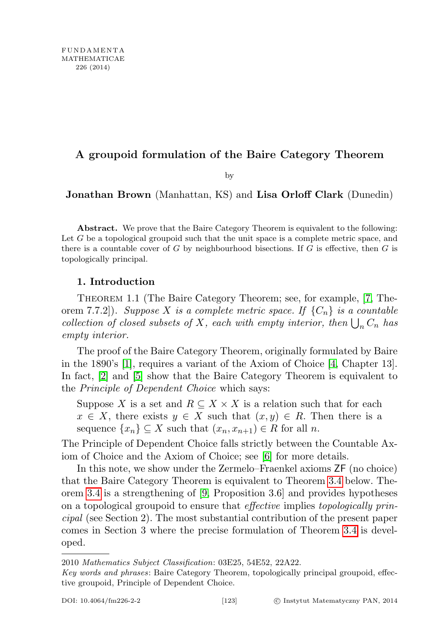## A groupoid formulation of the Baire Category Theorem

by

Jonathan Brown (Manhattan, KS) and Lisa Orloff Clark (Dunedin)

Abstract. We prove that the Baire Category Theorem is equivalent to the following: Let  $G$  be a topological groupoid such that the unit space is a complete metric space, and there is a countable cover of  $G$  by neighbourhood bisections. If  $G$  is effective, then  $G$  is topologically principal.

## 1. Introduction

<span id="page-0-0"></span>Theorem 1.1 (The Baire Category Theorem; see, for example, [\[7,](#page-7-0) Theorem 7.7.2]). Suppose X is a complete metric space. If  $\{C_n\}$  is a countable collection of closed subsets of X, each with empty interior, then  $\bigcup_n C_n$  has empty interior.

The proof of the Baire Category Theorem, originally formulated by Baire in the 1890's [\[1\]](#page-6-0), requires a variant of the Axiom of Choice [\[4,](#page-6-1) Chapter 13]. In fact, [\[2\]](#page-6-2) and [\[5\]](#page-6-3) show that the Baire Category Theorem is equivalent to the Principle of Dependent Choice which says:

Suppose X is a set and  $R \subseteq X \times X$  is a relation such that for each  $x \in X$ , there exists  $y \in X$  such that  $(x, y) \in R$ . Then there is a sequence  $\{x_n\} \subseteq X$  such that  $(x_n, x_{n+1}) \in R$  for all n.

The Principle of Dependent Choice falls strictly between the Countable Axiom of Choice and the Axiom of Choice; see [\[6\]](#page-6-4) for more details.

In this note, we show under the Zermelo–Fraenkel axioms ZF (no choice) that the Baire Category Theorem is equivalent to Theorem [3.4](#page-3-0) below. Theorem [3.4](#page-3-0) is a strengthening of [\[9,](#page-7-1) Proposition 3.6] and provides hypotheses on a topological groupoid to ensure that effective implies topologically principal (see Section 2). The most substantial contribution of the present paper comes in Section 3 where the precise formulation of Theorem [3.4](#page-3-0) is developed.

2010 Mathematics Subject Classification: 03E25, 54E52, 22A22.

Key words and phrases: Baire Category Theorem, topologically principal groupoid, effective groupoid, Principle of Dependent Choice.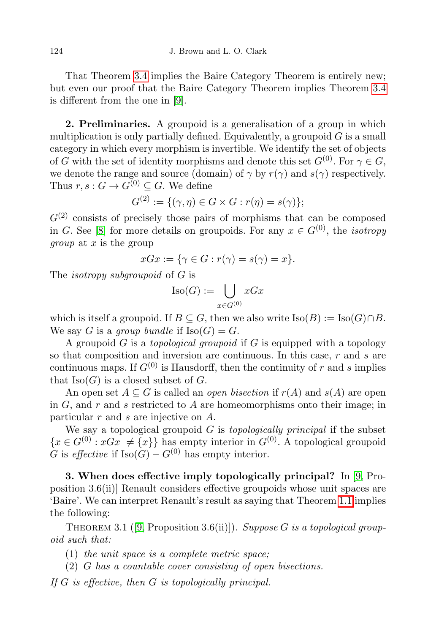That Theorem [3.4](#page-3-0) implies the Baire Category Theorem is entirely new; but even our proof that the Baire Category Theorem implies Theorem [3.4](#page-3-0) is different from the one in [\[9\]](#page-7-1).

2. Preliminaries. A groupoid is a generalisation of a group in which multiplication is only partially defined. Equivalently, a groupoid  $G$  is a small category in which every morphism is invertible. We identify the set of objects of G with the set of identity morphisms and denote this set  $G^{(0)}$ . For  $\gamma \in G$ , we denote the range and source (domain) of  $\gamma$  by  $r(\gamma)$  and  $s(\gamma)$  respectively. Thus  $r, s: G \to G^{(0)} \subseteq G$ . We define

$$
G^{(2)} := \{ (\gamma, \eta) \in G \times G : r(\eta) = s(\gamma) \};
$$

 $G<sup>(2)</sup>$  consists of precisely those pairs of morphisms that can be composed in G. See [\[8\]](#page-7-2) for more details on groupoids. For any  $x \in G^{(0)}$ , the *isotropy* group at x is the group

$$
xGx := \{ \gamma \in G : r(\gamma) = s(\gamma) = x \}.
$$

The isotropy subgroupoid of G is

$$
\text{Iso}(G):=\bigcup_{x\in G^{(0)}}xGx
$$

which is itself a groupoid. If  $B \subseteq G$ , then we also write  $\text{Iso}(B) := \text{Iso}(G) \cap B$ . We say G is a group bundle if  $\text{Iso}(G) = G$ .

A groupoid  $G$  is a *topological groupoid* if  $G$  is equipped with a topology so that composition and inversion are continuous. In this case, r and s are continuous maps. If  $G^{(0)}$  is Hausdorff, then the continuity of r and s implies that  $\text{Iso}(G)$  is a closed subset of G.

An open set  $A \subseteq G$  is called an *open bisection* if  $r(A)$  and  $s(A)$  are open in  $G$ , and  $r$  and  $s$  restricted to  $A$  are homeomorphisms onto their image; in particular r and s are injective on A.

We say a topological groupoid  $G$  is *topologically principal* if the subset  ${x \in G^{(0)} : xGx \neq {x}}$  has empty interior in  $G^{(0)}$ . A topological groupoid G is effective if  $\text{Iso}(G) - G^{(0)}$  has empty interior.

3. When does effective imply topologically principal? In [\[9,](#page-7-1) Proposition 3.6(ii)] Renault considers effective groupoids whose unit spaces are 'Baire'. We can interpret Renault's result as saying that Theorem [1.1](#page-0-0) implies the following:

<span id="page-1-0"></span>THEOREM 3.1 ([\[9,](#page-7-1) Proposition 3.6(ii)]). Suppose G is a topological groupoid such that:

- (1) the unit space is a complete metric space;
- <span id="page-1-1"></span>(2) G has a countable cover consisting of open bisections.

If G is effective, then G is topologically principal.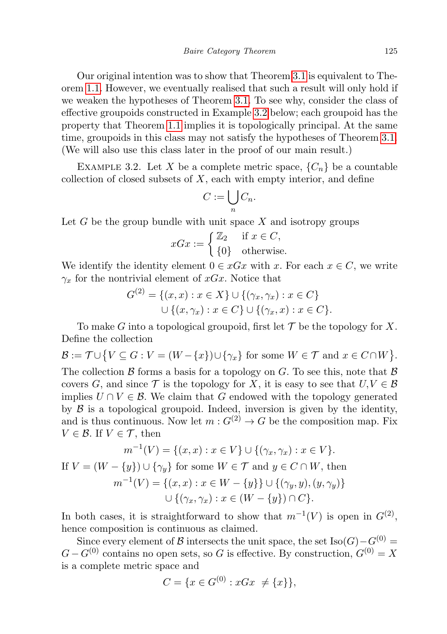Our original intention was to show that Theorem [3.1](#page-1-0) is equivalent to Theorem [1.1.](#page-0-0) However, we eventually realised that such a result will only hold if we weaken the hypotheses of Theorem [3.1.](#page-1-0) To see why, consider the class of effective groupoids constructed in Example [3.2](#page-2-0) below; each groupoid has the property that Theorem [1.1](#page-0-0) implies it is topologically principal. At the same time, groupoids in this class may not satisfy the hypotheses of Theorem [3.1.](#page-1-0) (We will also use this class later in the proof of our main result.)

<span id="page-2-0"></span>EXAMPLE 3.2. Let X be a complete metric space,  $\{C_n\}$  be a countable collection of closed subsets of  $X$ , each with empty interior, and define

$$
C:=\bigcup_n C_n.
$$

Let  $G$  be the group bundle with unit space  $X$  and isotropy groups

$$
xGx := \begin{cases} \mathbb{Z}_2 & \text{if } x \in C, \\ \{0\} & \text{otherwise.} \end{cases}
$$

We identify the identity element  $0 \in xGx$  with x. For each  $x \in C$ , we write  $\gamma_x$  for the nontrivial element of xGx. Notice that

$$
G^{(2)} = \{(x, x) : x \in X\} \cup \{(\gamma_x, \gamma_x) : x \in C\}
$$
  
 
$$
\cup \{(x, \gamma_x) : x \in C\} \cup \{(\gamma_x, x) : x \in C\}.
$$

To make G into a topological groupoid, first let  $\mathcal T$  be the topology for X. Define the collection

$$
\mathcal{B} := \mathcal{T} \cup \{ V \subseteq G : V = (W - \{x\}) \cup \{\gamma_x\} \text{ for some } W \in \mathcal{T} \text{ and } x \in C \cap W \}.
$$

The collection  $\beta$  forms a basis for a topology on G. To see this, note that  $\beta$ covers G, and since T is the topology for X, it is easy to see that  $U, V \in \mathcal{B}$ implies  $U \cap V \in \mathcal{B}$ . We claim that G endowed with the topology generated by  $\beta$  is a topological groupoid. Indeed, inversion is given by the identity, and is thus continuous. Now let  $m: G^{(2)} \to G$  be the composition map. Fix  $V \in \mathcal{B}$ . If  $V \in \mathcal{T}$ , then

$$
m^{-1}(V) = \{(x, x) : x \in V\} \cup \{(\gamma_x, \gamma_x) : x \in V\}.
$$
  
If  $V = (W - \{y\}) \cup \{\gamma_y\}$  for some  $W \in \mathcal{T}$  and  $y \in C \cap W$ , then  

$$
m^{-1}(V) = \{(x, x) : x \in W - \{y\}\} \cup \{(\gamma_y, y), (y, \gamma_y)\}
$$

$$
\cup \{(\gamma_x, \gamma_x) : x \in (W - \{y\}) \cap C\}.
$$

In both cases, it is straightforward to show that  $m^{-1}(V)$  is open in  $G<sup>(2)</sup>$ , hence composition is continuous as claimed.

Since every element of B intersects the unit space, the set  $\text{Iso}(G)-G^{(0)}=$  $G - G^{(0)}$  contains no open sets, so G is effective. By construction,  $G^{(0)} = X$ is a complete metric space and

$$
C = \{ x \in G^{(0)} : xGx \neq \{x\} \},
$$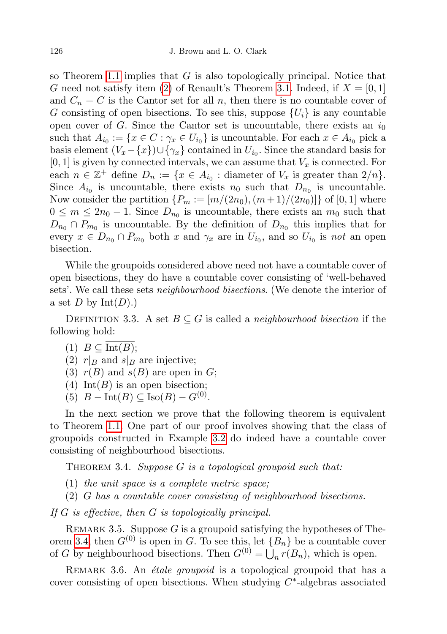so Theorem [1.1](#page-0-0) implies that  $G$  is also topologically principal. Notice that G need not satisfy item [\(2\)](#page-1-1) of Renault's Theorem [3.1.](#page-1-0) Indeed, if  $X = [0, 1]$ and  $C_n = C$  is the Cantor set for all n, then there is no countable cover of G consisting of open bisections. To see this, suppose  $\{U_i\}$  is any countable open cover of G. Since the Cantor set is uncountable, there exists an  $i_0$ such that  $A_{i_0} := \{x \in C : \gamma_x \in U_{i_0}\}\$ is uncountable. For each  $x \in A_{i_0}$  pick a basis element  $(V_x - \{x\}) \cup \{\gamma_x\}$  contained in  $U_{i_0}$ . Since the standard basis for  $[0, 1]$  is given by connected intervals, we can assume that  $V_x$  is connected. For each  $n \in \mathbb{Z}^+$  define  $D_n := \{x \in A_{i_0} : \text{diameter of } V_x \text{ is greater than } 2/n\}.$ Since  $A_{i_0}$  is uncountable, there exists  $n_0$  such that  $D_{n_0}$  is uncountable. Now consider the partition  $\{P_m := [m/(2n_0), (m+1)/(2n_0)]\}$  of [0, 1] where  $0 \leq m \leq 2n_0 - 1$ . Since  $D_{n_0}$  is uncountable, there exists an  $m_0$  such that  $D_{n_0} \cap P_{m_0}$  is uncountable. By the definition of  $D_{n_0}$  this implies that for every  $x \in D_{n_0} \cap P_{m_0}$  both x and  $\gamma_x$  are in  $U_{i_0}$ , and so  $U_{i_0}$  is not an open bisection.

While the groupoids considered above need not have a countable cover of open bisections, they do have a countable cover consisting of 'well-behaved sets'. We call these sets neighbourhood bisections. (We denote the interior of a set D by  $Int(D)$ .)

<span id="page-3-2"></span>DEFINITION 3.3. A set  $B \subseteq G$  is called a *neighbourhood bisection* if the following hold:

- <span id="page-3-3"></span>(1)  $B \subseteq \text{Int}(B);$
- <span id="page-3-4"></span>(2)  $r|_B$  and  $s|_B$  are injective;
- <span id="page-3-5"></span>(3)  $r(B)$  and  $s(B)$  are open in G;
- <span id="page-3-6"></span>(4) Int(B) is an open bisection;
- <span id="page-3-7"></span>(5)  $B - \text{Int}(B) \subseteq \text{Iso}(B) - G^{(0)}$ .

In the next section we prove that the following theorem is equivalent to Theorem [1.1.](#page-0-0) One part of our proof involves showing that the class of groupoids constructed in Example [3.2](#page-2-0) do indeed have a countable cover consisting of neighbourhood bisections.

<span id="page-3-0"></span>THEOREM 3.4. Suppose  $G$  is a topological groupoid such that:

- <span id="page-3-1"></span> $(1)$  the unit space is a complete metric space;
- <span id="page-3-8"></span>(2) G has a countable cover consisting of neighbourhood bisections.

If G is effective, then G is topologically principal.

REMARK 3.5. Suppose G is a groupoid satisfying the hypotheses of The-orem [3.4,](#page-3-0) then  $G^{(0)}$  is open in G. To see this, let  ${B_n}$  be a countable cover of G by neighbourhood bisections. Then  $G^{(0)} = \bigcup_n r(B_n)$ , which is open.

REMARK 3.6. An *étale groupoid* is a topological groupoid that has a cover consisting of open bisections. When studying  $C^*$ -algebras associated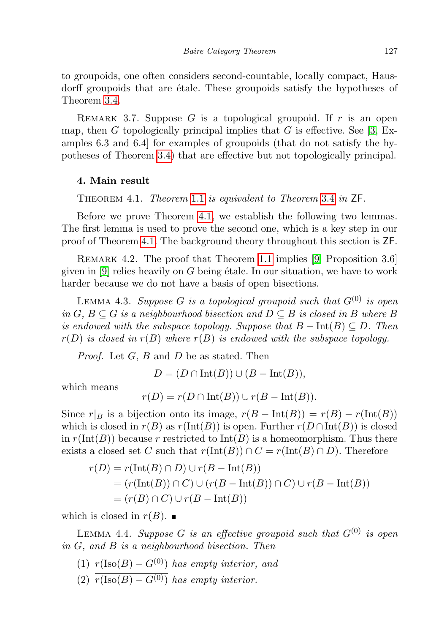to groupoids, one often considers second-countable, locally compact, Hausdorff groupoids that are  $\acute{e}$ tale. These groupoids satisfy the hypotheses of Theorem [3.4.](#page-3-0)

REMARK 3.7. Suppose  $G$  is a topological groupoid. If  $r$  is an open map, then G topologically principal implies that G is effective. See [\[3,](#page-6-5) Examples 6.3 and 6.4] for examples of groupoids (that do not satisfy the hypotheses of Theorem [3.4\)](#page-3-0) that are effective but not topologically principal.

## <span id="page-4-0"></span>4. Main result

Theorem 4.1. Theorem [1.1](#page-0-0) is equivalent to Theorem [3.4](#page-3-0) in ZF.

Before we prove Theorem [4.1,](#page-4-0) we establish the following two lemmas. The first lemma is used to prove the second one, which is a key step in our proof of Theorem [4.1.](#page-4-0) The background theory throughout this section is ZF.

REMARK 4.2. The proof that Theorem [1.1](#page-0-0) implies [\[9,](#page-7-1) Proposition 3.6] given in  $[9]$  relies heavily on G being étale. In our situation, we have to work harder because we do not have a basis of open bisections.

<span id="page-4-3"></span>LEMMA 4.3. Suppose G is a topological groupoid such that  $G^{(0)}$  is open in  $G, B \subseteq G$  is a neighbourhood bisection and  $D \subseteq B$  is closed in B where B is endowed with the subspace topology. Suppose that  $B - Int(B) \subseteq D$ . Then  $r(D)$  is closed in  $r(B)$  where  $r(B)$  is endowed with the subspace topology.

*Proof.* Let  $G$ ,  $B$  and  $D$  be as stated. Then

 $D = (D \cap Int(B)) \cup (B - Int(B)),$ 

which means

$$
r(D) = r(D \cap Int(B)) \cup r(B - Int(B)).
$$

Since  $r|_B$  is a bijection onto its image,  $r(B - Int(B)) = r(B) - r(\text{Int}(B))$ which is closed in  $r(B)$  as  $r(\text{Int}(B))$  is open. Further  $r(D \cap \text{Int}(B))$  is closed in  $r(\text{Int}(B))$  because r restricted to  $\text{Int}(B)$  is a homeomorphism. Thus there exists a closed set C such that  $r(\text{Int}(B)) \cap C = r(\text{Int}(B) \cap D)$ . Therefore

$$
r(D) = r(\text{Int}(B) \cap D) \cup r(B - \text{Int}(B))
$$
  
= 
$$
(r(\text{Int}(B)) \cap C) \cup (r(B - \text{Int}(B)) \cap C) \cup r(B - \text{Int}(B))
$$
  
= 
$$
(r(B) \cap C) \cup r(B - \text{Int}(B))
$$

which is closed in  $r(B)$ .

<span id="page-4-4"></span>LEMMA 4.4. Suppose G is an effective groupoid such that  $G^{(0)}$  is open in G, and B is a neighbourhood bisection. Then

- <span id="page-4-1"></span>(1)  $r(\text{Iso}(B) - G^{(0)})$  has empty interior, and
- <span id="page-4-2"></span>(2)  $\overline{r(\text{Iso}(B) - G^{(0)})}$  has empty interior.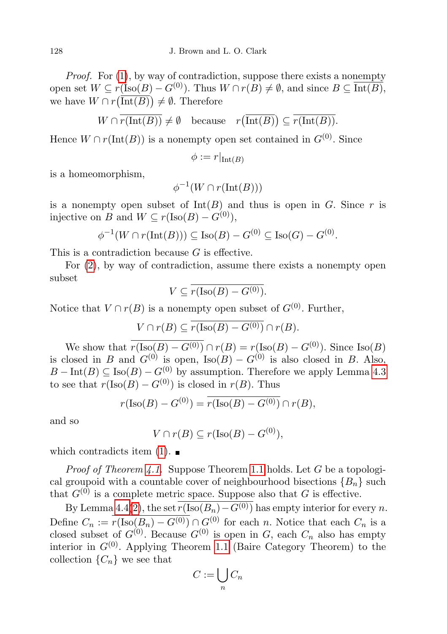Proof. For  $(1)$ , by way of contradiction, suppose there exists a nonempty open set  $W \subseteq r({\rm Iso}(B) - G^{(0)})$ . Thus  $W \cap r(B) \neq \emptyset$ , and since  $B \subseteq \overline{{\rm Int}(B)}$ , we have  $W \cap r(\text{Int}(B)) \neq \emptyset$ . Therefore

$$
W \cap \overline{r(\text{Int}(B))} \neq \emptyset \quad \text{because} \quad r(\overline{\text{Int}(B)}) \subseteq \overline{r(\text{Int}(B))}.
$$

Hence  $W \cap r(\text{Int}(B))$  is a nonempty open set contained in  $G^{(0)}$ . Since

$$
\phi := r|_{\text{Int}(B)}
$$

is a homeomorphism,

$$
\phi^{-1}(W \cap r(\text{Int}(B)))
$$

is a nonempty open subset of  $Int(B)$  and thus is open in G. Since r is injective on B and  $W \subseteq r(\text{Iso}(B) - G^{(0)})$ ,

$$
\phi^{-1}(W \cap r(\text{Int}(B))) \subseteq \text{Iso}(B) - G^{(0)} \subseteq \text{Iso}(G) - G^{(0)}.
$$

This is a contradiction because G is effective.

For [\(2\)](#page-4-2), by way of contradiction, assume there exists a nonempty open subset

$$
V \subseteq \overline{r(\text{Iso}(B) - G^{(0)})}.
$$

Notice that  $V \cap r(B)$  is a nonempty open subset of  $G^{(0)}$ . Further,

$$
V \cap r(B) \subseteq \overline{r(\text{Iso}(B) - G^{(0)})} \cap r(B).
$$

We show that  $r(\text{Iso}(B) - G^{(0)}) \cap r(B) = r(\text{Iso}(B) - G^{(0)})$ . Since  $\text{Iso}(B)$ is closed in B and  $G^{(0)}$  is open, Iso $(B) - G^{(0)}$  is also closed in B. Also,  $B - \text{Int}(B) \subseteq \text{Iso}(B) - G^{(0)}$  by assumption. Therefore we apply Lemma [4.3](#page-4-3) to see that  $r(\text{Iso}(B) - G^{(0)})$  is closed in  $r(B)$ . Thus

$$
r(\text{Iso}(B) - G^{(0)}) = \overline{r(\text{Iso}(B) - G^{(0)})} \cap r(B),
$$

and so

 $V \cap r(B) \subseteq r(\text{Iso}(B) - G^{(0)}),$ 

which contradicts item  $(1)$ .

*Proof of Theorem [4.1.](#page-4-0)* Suppose Theorem [1.1](#page-0-0) holds. Let G be a topological groupoid with a countable cover of neighbourhood bisections  ${B_n}$  such that  $G^{(0)}$  is a complete metric space. Suppose also that G is effective.

By Lemma [4.4\(](#page-4-4)[2\)](#page-4-2), the set  $\overline{r(\text{Iso}(B_n)-G^{(0)})}$  has empty interior for every n. Define  $C_n := r(\text{Iso}(B_n) - G^{(0)}) \cap G^{(0)}$  for each n. Notice that each  $C_n$  is a closed subset of  $G^{(0)}$ . Because  $G^{(0)}$  is open in G, each  $C_n$  also has empty interior in  $G^{(0)}$ . Applying Theorem [1.1](#page-0-0) (Baire Category Theorem) to the collection  $\{C_n\}$  we see that

$$
C := \bigcup_n C_n
$$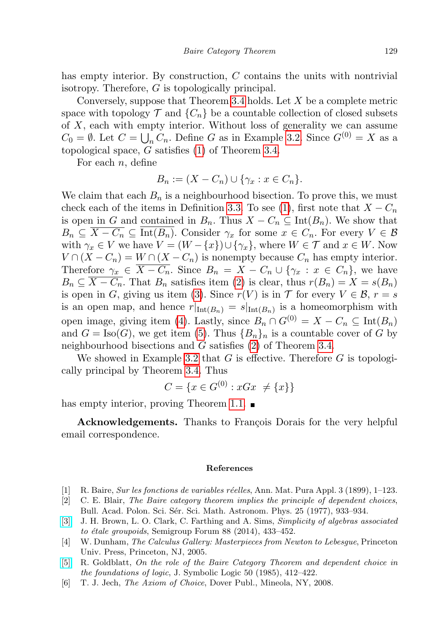has empty interior. By construction, C contains the units with nontrivial isotropy. Therefore, G is topologically principal.

Conversely, suppose that Theorem [3.4](#page-3-0) holds. Let X be a complete metric space with topology  $\mathcal T$  and  $\{C_n\}$  be a countable collection of closed subsets of  $X$ , each with empty interior. Without loss of generality we can assume  $C_0 = \emptyset$ . Let  $C = \bigcup_n C_n$ . Define G as in Example [3.2.](#page-2-0) Since  $G^{(0)} = X$  as a topological space,  $G$  satisfies  $(1)$  of Theorem [3.4.](#page-3-0)

For each  $n$ , define

$$
B_n := (X - C_n) \cup \{ \gamma_x : x \in C_n \}.
$$

We claim that each  $B_n$  is a neighbourhood bisection. To prove this, we must check each of the items in Definition [3.3.](#page-3-2) To see [\(1\)](#page-3-3), first note that  $X - C_n$ is open in G and contained in  $B_n$ . Thus  $X - C_n \subseteq \text{Int}(B_n)$ . We show that  $B_n \subseteq \overline{X - C_n} \subseteq \overline{\text{Int}(B_n)}$ . Consider  $\gamma_x$  for some  $x \in C_n$ . For every  $V \in \mathcal{B}$ with  $\gamma_x \in V$  we have  $V = (W - \{x\}) \cup \{\gamma_x\}$ , where  $W \in \mathcal{T}$  and  $x \in W$ . Now  $V \cap (X - C_n) = W \cap (X - C_n)$  is nonempty because  $C_n$  has empty interior. Therefore  $\gamma_x \in \overline{X - C_n}$ . Since  $B_n = X - C_n \cup {\gamma_x : x \in C_n}$ , we have  $B_n \subseteq \overline{X - C_n}$ . That  $B_n$  satisfies item [\(2\)](#page-3-4) is clear, thus  $r(B_n) = X = s(B_n)$ is open in G, giving us item [\(3\)](#page-3-5). Since  $r(V)$  is in T for every  $V \in \mathcal{B}$ ,  $r = s$ is an open map, and hence  $r|_{\text{Int}(B_n)} = s|_{\text{Int}(B_n)}$  is a homeomorphism with open image, giving item [\(4\)](#page-3-6). Lastly, since  $B_n \cap G^{(0)} = X - C_n \subseteq \text{Int}(B_n)$ and  $G = \text{Iso}(G)$ , we get item [\(5\)](#page-3-7). Thus  ${B_n}_n$  is a countable cover of G by neighbourhood bisections and G satisfies [\(2\)](#page-3-8) of Theorem [3.4.](#page-3-0)

We showed in Example [3.2](#page-2-0) that  $G$  is effective. Therefore  $G$  is topologically principal by Theorem [3.4.](#page-3-0) Thus

$$
C = \{ x \in G^{(0)} : xGx \neq \{x\} \}
$$

has empty interior, proving Theorem [1.1.](#page-0-0)  $\blacksquare$ 

Acknowledgements. Thanks to François Dorais for the very helpful email correspondence.

## References

- <span id="page-6-0"></span>[1] R. Baire, Sur les fonctions de variables r´eelles, Ann. Mat. Pura Appl. 3 (1899), 1–123.
- <span id="page-6-2"></span>[2] C. E. Blair, The Baire category theorem implies the principle of dependent choices, Bull. Acad. Polon. Sci. Sér. Sci. Math. Astronom. Phys. 25 (1977), 933–934.
- <span id="page-6-5"></span>[\[3\]](http://dx.doi.org/10.1007/s00233-013-9546-z) J. H. Brown, L. O. Clark, C. Farthing and A. Sims, Simplicity of algebras associated to étale groupoids, Semigroup Forum 88 (2014), 433-452.
- <span id="page-6-1"></span>[4] W. Dunham, The Calculus Gallery: Masterpieces from Newton to Lebesgue, Princeton Univ. Press, Princeton, NJ, 2005.
- <span id="page-6-3"></span>[\[5\]](http://dx.doi.org/10.2307/2274230) R. Goldblatt, On the role of the Baire Category Theorem and dependent choice in the foundations of logic, J. Symbolic Logic 50 (1985), 412–422.
- <span id="page-6-4"></span>[6] T. J. Jech, The Axiom of Choice, Dover Publ., Mineola, NY, 2008.